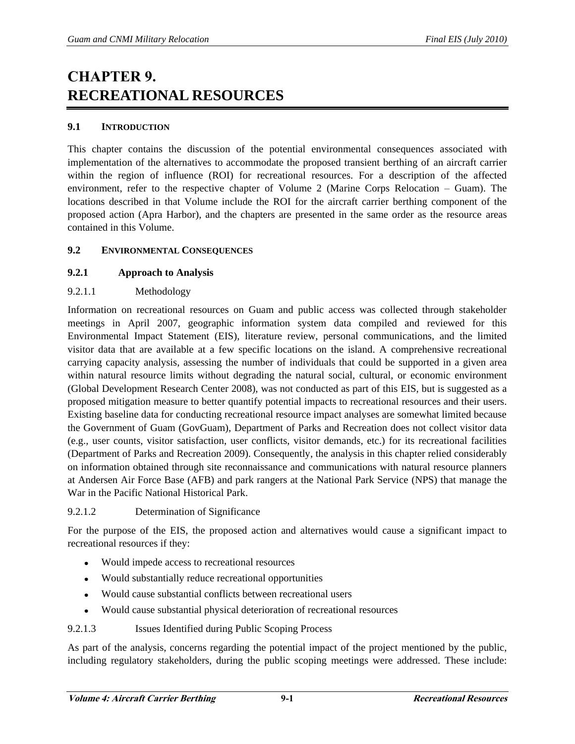# **CHAPTER 9. RECREATIONAL RESOURCES**

# **9.1 INTRODUCTION**

This chapter contains the discussion of the potential environmental consequences associated with implementation of the alternatives to accommodate the proposed transient berthing of an aircraft carrier within the region of influence (ROI) for recreational resources. For a description of the affected environment, refer to the respective chapter of Volume 2 (Marine Corps Relocation – Guam). The locations described in that Volume include the ROI for the aircraft carrier berthing component of the proposed action (Apra Harbor), and the chapters are presented in the same order as the resource areas contained in this Volume.

# **9.2 ENVIRONMENTAL CONSEQUENCES**

# **9.2.1 Approach to Analysis**

# 9.2.1.1 Methodology

Information on recreational resources on Guam and public access was collected through stakeholder meetings in April 2007, geographic information system data compiled and reviewed for this Environmental Impact Statement (EIS), literature review, personal communications, and the limited visitor data that are available at a few specific locations on the island. A comprehensive recreational carrying capacity analysis, assessing the number of individuals that could be supported in a given area within natural resource limits without degrading the natural social, cultural, or economic environment (Global Development Research Center 2008), was not conducted as part of this EIS, but is suggested as a proposed mitigation measure to better quantify potential impacts to recreational resources and their users. Existing baseline data for conducting recreational resource impact analyses are somewhat limited because the Government of Guam (GovGuam), Department of Parks and Recreation does not collect visitor data (e.g., user counts, visitor satisfaction, user conflicts, visitor demands, etc.) for its recreational facilities (Department of Parks and Recreation 2009). Consequently, the analysis in this chapter relied considerably on information obtained through site reconnaissance and communications with natural resource planners at Andersen Air Force Base (AFB) and park rangers at the National Park Service (NPS) that manage the War in the Pacific National Historical Park.

#### 9.2.1.2 Determination of Significance

For the purpose of the EIS, the proposed action and alternatives would cause a significant impact to recreational resources if they:

- Would impede access to recreational resources  $\bullet$
- Would substantially reduce recreational opportunities
- Would cause substantial conflicts between recreational users  $\bullet$
- Would cause substantial physical deterioration of recreational resources  $\bullet$

#### 9.2.1.3 Issues Identified during Public Scoping Process

As part of the analysis, concerns regarding the potential impact of the project mentioned by the public, including regulatory stakeholders, during the public scoping meetings were addressed. These include: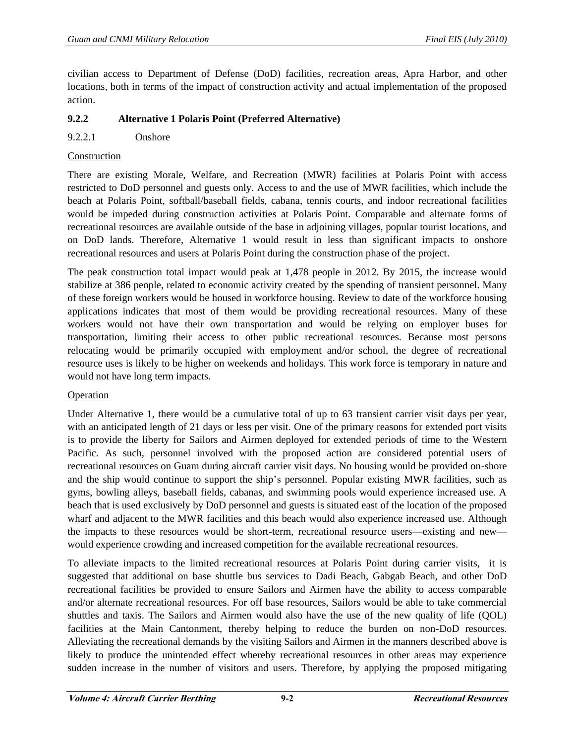civilian access to Department of Defense (DoD) facilities, recreation areas, Apra Harbor, and other locations, both in terms of the impact of construction activity and actual implementation of the proposed action.

# **9.2.2 Alternative 1 Polaris Point (Preferred Alternative)**

# 9.2.2.1 Onshore

## Construction

There are existing Morale, Welfare, and Recreation (MWR) facilities at Polaris Point with access restricted to DoD personnel and guests only. Access to and the use of MWR facilities, which include the beach at Polaris Point, softball/baseball fields, cabana, tennis courts, and indoor recreational facilities would be impeded during construction activities at Polaris Point. Comparable and alternate forms of recreational resources are available outside of the base in adjoining villages, popular tourist locations, and on DoD lands. Therefore, Alternative 1 would result in less than significant impacts to onshore recreational resources and users at Polaris Point during the construction phase of the project.

The peak construction total impact would peak at 1,478 people in 2012. By 2015, the increase would stabilize at 386 people, related to economic activity created by the spending of transient personnel. Many of these foreign workers would be housed in workforce housing. Review to date of the workforce housing applications indicates that most of them would be providing recreational resources. Many of these workers would not have their own transportation and would be relying on employer buses for transportation, limiting their access to other public recreational resources. Because most persons relocating would be primarily occupied with employment and/or school, the degree of recreational resource uses is likely to be higher on weekends and holidays. This work force is temporary in nature and would not have long term impacts.

#### Operation

Under Alternative 1, there would be a cumulative total of up to 63 transient carrier visit days per year, with an anticipated length of 21 days or less per visit. One of the primary reasons for extended port visits is to provide the liberty for Sailors and Airmen deployed for extended periods of time to the Western Pacific. As such, personnel involved with the proposed action are considered potential users of recreational resources on Guam during aircraft carrier visit days. No housing would be provided on-shore and the ship would continue to support the ship's personnel. Popular existing MWR facilities, such as gyms, bowling alleys, baseball fields, cabanas, and swimming pools would experience increased use. A beach that is used exclusively by DoD personnel and guests is situated east of the location of the proposed wharf and adjacent to the MWR facilities and this beach would also experience increased use. Although the impacts to these resources would be short-term, recreational resource users—existing and new would experience crowding and increased competition for the available recreational resources.

To alleviate impacts to the limited recreational resources at Polaris Point during carrier visits, it is suggested that additional on base shuttle bus services to Dadi Beach, Gabgab Beach, and other DoD recreational facilities be provided to ensure Sailors and Airmen have the ability to access comparable and/or alternate recreational resources. For off base resources, Sailors would be able to take commercial shuttles and taxis. The Sailors and Airmen would also have the use of the new quality of life (QOL) facilities at the Main Cantonment, thereby helping to reduce the burden on non-DoD resources. Alleviating the recreational demands by the visiting Sailors and Airmen in the manners described above is likely to produce the unintended effect whereby recreational resources in other areas may experience sudden increase in the number of visitors and users. Therefore, by applying the proposed mitigating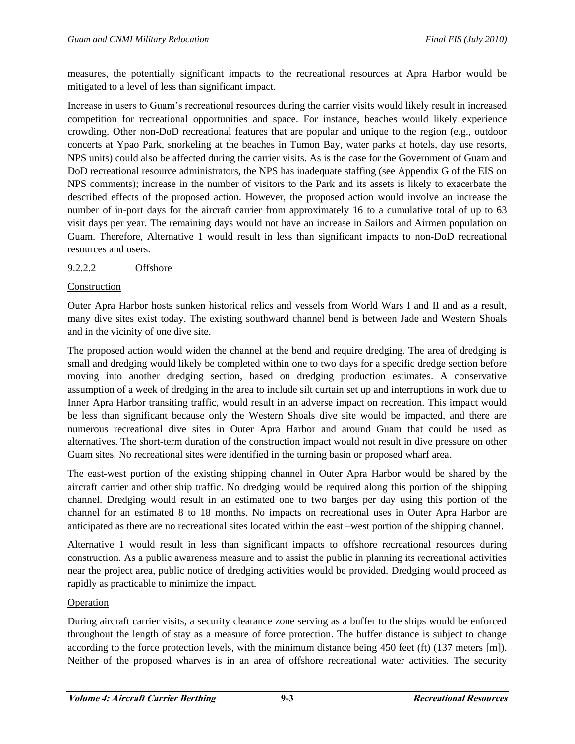measures, the potentially significant impacts to the recreational resources at Apra Harbor would be mitigated to a level of less than significant impact.

Increase in users to Guam's recreational resources during the carrier visits would likely result in increased competition for recreational opportunities and space. For instance, beaches would likely experience crowding. Other non-DoD recreational features that are popular and unique to the region (e.g., outdoor concerts at Ypao Park, snorkeling at the beaches in Tumon Bay, water parks at hotels, day use resorts, NPS units) could also be affected during the carrier visits. As is the case for the Government of Guam and DoD recreational resource administrators, the NPS has inadequate staffing (see Appendix G of the EIS on NPS comments); increase in the number of visitors to the Park and its assets is likely to exacerbate the described effects of the proposed action. However, the proposed action would involve an increase the number of in-port days for the aircraft carrier from approximately 16 to a cumulative total of up to 63 visit days per year. The remaining days would not have an increase in Sailors and Airmen population on Guam. Therefore, Alternative 1 would result in less than significant impacts to non-DoD recreational resources and users.

# 9.2.2.2 Offshore

#### Construction

Outer Apra Harbor hosts sunken historical relics and vessels from World Wars I and II and as a result, many dive sites exist today. The existing southward channel bend is between Jade and Western Shoals and in the vicinity of one dive site.

The proposed action would widen the channel at the bend and require dredging. The area of dredging is small and dredging would likely be completed within one to two days for a specific dredge section before moving into another dredging section, based on dredging production estimates. A conservative assumption of a week of dredging in the area to include silt curtain set up and interruptions in work due to Inner Apra Harbor transiting traffic, would result in an adverse impact on recreation. This impact would be less than significant because only the Western Shoals dive site would be impacted, and there are numerous recreational dive sites in Outer Apra Harbor and around Guam that could be used as alternatives. The short-term duration of the construction impact would not result in dive pressure on other Guam sites. No recreational sites were identified in the turning basin or proposed wharf area.

The east-west portion of the existing shipping channel in Outer Apra Harbor would be shared by the aircraft carrier and other ship traffic. No dredging would be required along this portion of the shipping channel. Dredging would result in an estimated one to two barges per day using this portion of the channel for an estimated 8 to 18 months. No impacts on recreational uses in Outer Apra Harbor are anticipated as there are no recreational sites located within the east –west portion of the shipping channel.

Alternative 1 would result in less than significant impacts to offshore recreational resources during construction. As a public awareness measure and to assist the public in planning its recreational activities near the project area, public notice of dredging activities would be provided. Dredging would proceed as rapidly as practicable to minimize the impact.

#### Operation

During aircraft carrier visits, a security clearance zone serving as a buffer to the ships would be enforced throughout the length of stay as a measure of force protection. The buffer distance is subject to change according to the force protection levels, with the minimum distance being 450 feet (ft) (137 meters [m]). Neither of the proposed wharves is in an area of offshore recreational water activities. The security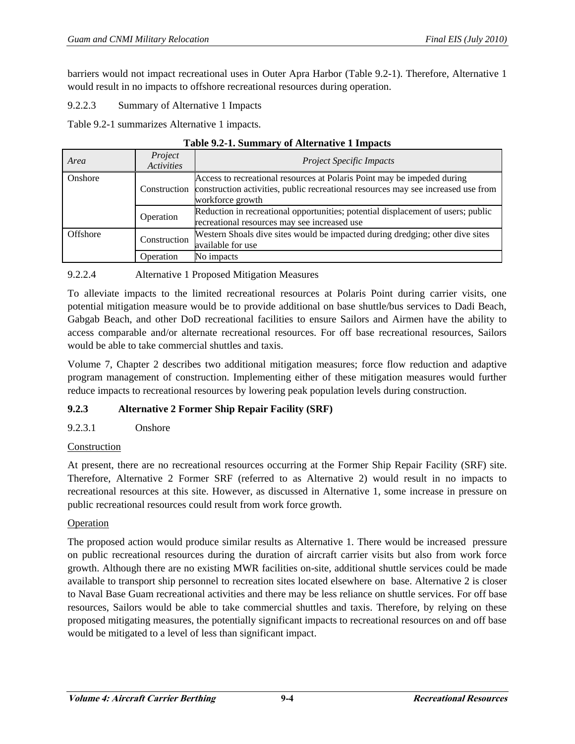barriers would not impact recreational uses in Outer Apra Harbor (Table 9.2-1). Therefore, Alternative 1 would result in no impacts to offshore recreational resources during operation.

9.2.2.3 Summary of Alternative 1 Impacts

Table 9.2-1 summarizes Alternative 1 impacts.

| Area     | Project<br><b>Activities</b> | <b>Project Specific Impacts</b>                                                                                                                                                               |
|----------|------------------------------|-----------------------------------------------------------------------------------------------------------------------------------------------------------------------------------------------|
| Onshore  |                              | Access to recreational resources at Polaris Point may be impeded during<br>Construction construction activities, public recreational resources may see increased use from<br>workforce growth |
|          | Operation                    | Reduction in recreational opportunities; potential displacement of users; public<br>recreational resources may see increased use                                                              |
| Offshore | Construction                 | Western Shoals dive sites would be impacted during dredging; other dive sites<br>available for use                                                                                            |
|          | <b>D</b> peration            | No impacts                                                                                                                                                                                    |

## **Table 9.2-1. Summary of Alternative 1 Impacts**

# 9.2.2.4 Alternative 1 Proposed Mitigation Measures

To alleviate impacts to the limited recreational resources at Polaris Point during carrier visits, one potential mitigation measure would be to provide additional on base shuttle/bus services to Dadi Beach, Gabgab Beach, and other DoD recreational facilities to ensure Sailors and Airmen have the ability to access comparable and/or alternate recreational resources. For off base recreational resources, Sailors would be able to take commercial shuttles and taxis.

Volume 7, Chapter 2 describes two additional mitigation measures; force flow reduction and adaptive program management of construction. Implementing either of these mitigation measures would further reduce impacts to recreational resources by lowering peak population levels during construction.

# **9.2.3 Alternative 2 Former Ship Repair Facility (SRF)**

# 9.2.3.1 Onshore

#### Construction

At present, there are no recreational resources occurring at the Former Ship Repair Facility (SRF) site. Therefore, Alternative 2 Former SRF (referred to as Alternative 2) would result in no impacts to recreational resources at this site. However, as discussed in Alternative 1, some increase in pressure on public recreational resources could result from work force growth.

#### Operation

The proposed action would produce similar results as Alternative 1. There would be increased pressure on public recreational resources during the duration of aircraft carrier visits but also from work force growth. Although there are no existing MWR facilities on-site, additional shuttle services could be made available to transport ship personnel to recreation sites located elsewhere on base. Alternative 2 is closer to Naval Base Guam recreational activities and there may be less reliance on shuttle services. For off base resources, Sailors would be able to take commercial shuttles and taxis. Therefore, by relying on these proposed mitigating measures, the potentially significant impacts to recreational resources on and off base would be mitigated to a level of less than significant impact.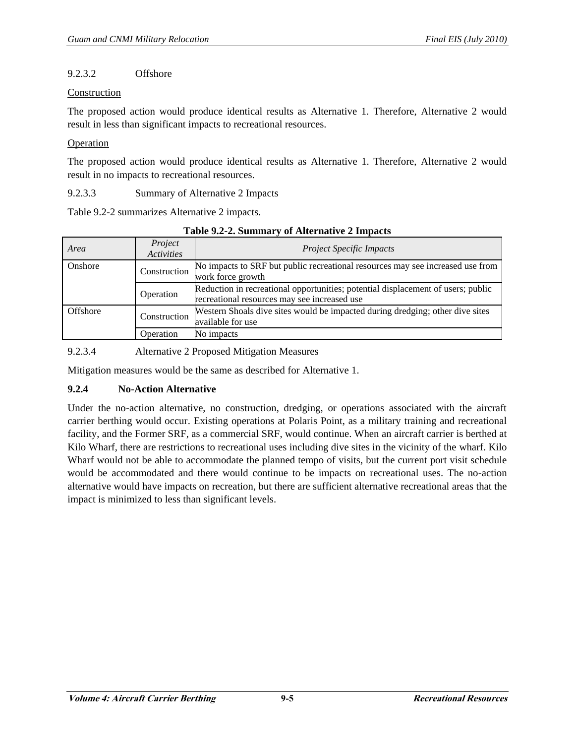# 9.2.3.2 Offshore

### Construction

The proposed action would produce identical results as Alternative 1. Therefore, Alternative 2 would result in less than significant impacts to recreational resources.

## Operation

The proposed action would produce identical results as Alternative 1. Therefore, Alternative 2 would result in no impacts to recreational resources.

9.2.3.3 Summary of Alternative 2 Impacts

Table 9.2-2 summarizes Alternative 2 impacts.

| Area            | Project<br><b>Activities</b> | <b>Project Specific Impacts</b>                                                                                                  |
|-----------------|------------------------------|----------------------------------------------------------------------------------------------------------------------------------|
| Onshore         | Construction                 | No impacts to SRF but public recreational resources may see increased use from<br>work force growth                              |
|                 | Operation                    | Reduction in recreational opportunities; potential displacement of users; public<br>recreational resources may see increased use |
| <b>Offshore</b> | Construction                 | Western Shoals dive sites would be impacted during dredging; other dive sites<br>available for use                               |
|                 | <b>Operation</b>             | No impacts                                                                                                                       |

**Table 9.2-2. Summary of Alternative 2 Impacts** 

9.2.3.4 Alternative 2 Proposed Mitigation Measures

Mitigation measures would be the same as described for Alternative 1.

# **9.2.4 No-Action Alternative**

Under the no-action alternative, no construction, dredging, or operations associated with the aircraft carrier berthing would occur. Existing operations at Polaris Point, as a military training and recreational facility, and the Former SRF, as a commercial SRF, would continue. When an aircraft carrier is berthed at Kilo Wharf, there are restrictions to recreational uses including dive sites in the vicinity of the wharf. Kilo Wharf would not be able to accommodate the planned tempo of visits, but the current port visit schedule would be accommodated and there would continue to be impacts on recreational uses. The no-action alternative would have impacts on recreation, but there are sufficient alternative recreational areas that the impact is minimized to less than significant levels.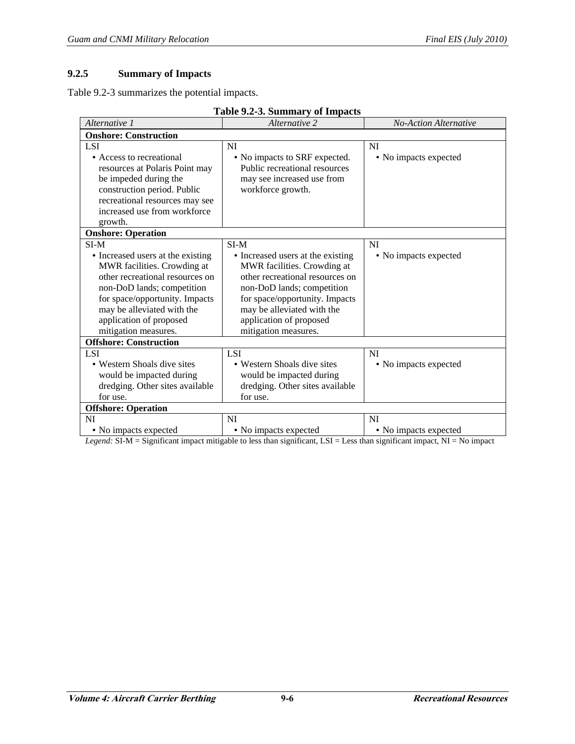# **9.2.5 Summary of Impacts**

Table 9.2-3 summarizes the potential impacts.

| Alternative 1                     | Alternative 2                     | <b>No-Action Alternative</b> |  |  |  |  |
|-----------------------------------|-----------------------------------|------------------------------|--|--|--|--|
| <b>Onshore: Construction</b>      |                                   |                              |  |  |  |  |
| <b>LSI</b>                        | <b>NI</b>                         | NI                           |  |  |  |  |
| • Access to recreational          | • No impacts to SRF expected.     | • No impacts expected        |  |  |  |  |
| resources at Polaris Point may    | Public recreational resources     |                              |  |  |  |  |
| be impeded during the             | may see increased use from        |                              |  |  |  |  |
| construction period. Public       | workforce growth.                 |                              |  |  |  |  |
| recreational resources may see    |                                   |                              |  |  |  |  |
| increased use from workforce      |                                   |                              |  |  |  |  |
| growth.                           |                                   |                              |  |  |  |  |
| <b>Onshore: Operation</b>         |                                   |                              |  |  |  |  |
| $SI-M$                            | $SI-M$                            | NI                           |  |  |  |  |
| • Increased users at the existing | • Increased users at the existing | • No impacts expected        |  |  |  |  |
| MWR facilities. Crowding at       | MWR facilities. Crowding at       |                              |  |  |  |  |
| other recreational resources on   | other recreational resources on   |                              |  |  |  |  |
| non-DoD lands; competition        | non-DoD lands; competition        |                              |  |  |  |  |
| for space/opportunity. Impacts    | for space/opportunity. Impacts    |                              |  |  |  |  |
| may be alleviated with the        | may be alleviated with the        |                              |  |  |  |  |
| application of proposed           | application of proposed           |                              |  |  |  |  |
| mitigation measures.              | mitigation measures.              |                              |  |  |  |  |
| <b>Offshore: Construction</b>     |                                   |                              |  |  |  |  |
| <b>LSI</b>                        | <b>LSI</b>                        | <b>NI</b>                    |  |  |  |  |
| • Western Shoals dive sites       | • Western Shoals dive sites       | • No impacts expected        |  |  |  |  |
| would be impacted during          | would be impacted during          |                              |  |  |  |  |
| dredging. Other sites available   | dredging. Other sites available   |                              |  |  |  |  |
| for use.                          | for use.                          |                              |  |  |  |  |
| <b>Offshore: Operation</b>        |                                   |                              |  |  |  |  |
| <b>NI</b>                         | <b>NI</b>                         | <b>NI</b>                    |  |  |  |  |
| • No impacts expected             | • No impacts expected             | • No impacts expected        |  |  |  |  |

*Legend:* SI-M = Significant impact mitigable to less than significant, LSI = Less than significant impact, NI = No impact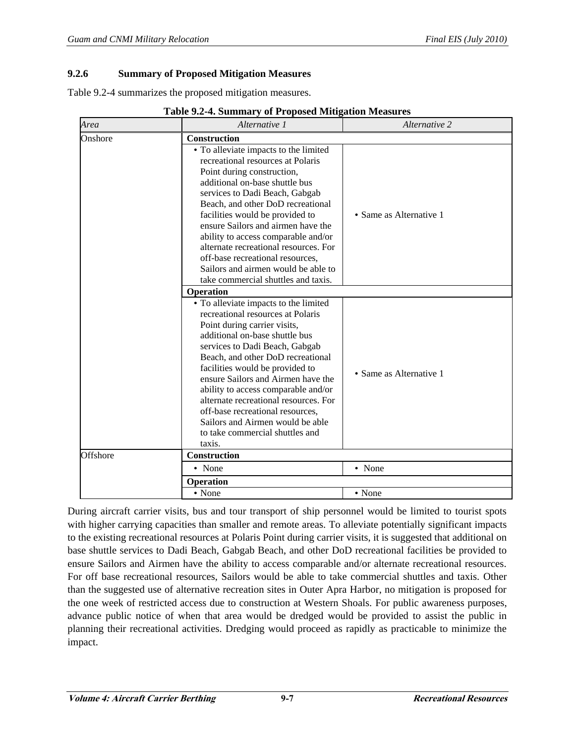#### **9.2.6 Summary of Proposed Mitigation Measures**

Table 9.2-4 summarizes the proposed mitigation measures.

| Area     | Alternative 1                                                                                                                                                                                                                                                                                                                                                                                                                                                                                     | Alternative 2           |  |  |  |
|----------|---------------------------------------------------------------------------------------------------------------------------------------------------------------------------------------------------------------------------------------------------------------------------------------------------------------------------------------------------------------------------------------------------------------------------------------------------------------------------------------------------|-------------------------|--|--|--|
| Onshore  | Construction                                                                                                                                                                                                                                                                                                                                                                                                                                                                                      |                         |  |  |  |
|          | • To alleviate impacts to the limited<br>recreational resources at Polaris<br>Point during construction,<br>additional on-base shuttle bus<br>services to Dadi Beach, Gabgab<br>Beach, and other DoD recreational<br>facilities would be provided to<br>ensure Sailors and airmen have the<br>ability to access comparable and/or<br>alternate recreational resources. For<br>off-base recreational resources,<br>Sailors and airmen would be able to<br>take commercial shuttles and taxis.      | • Same as Alternative 1 |  |  |  |
|          | Operation                                                                                                                                                                                                                                                                                                                                                                                                                                                                                         |                         |  |  |  |
|          | • To alleviate impacts to the limited<br>recreational resources at Polaris<br>Point during carrier visits,<br>additional on-base shuttle bus<br>services to Dadi Beach, Gabgab<br>Beach, and other DoD recreational<br>facilities would be provided to<br>ensure Sailors and Airmen have the<br>ability to access comparable and/or<br>alternate recreational resources. For<br>off-base recreational resources,<br>Sailors and Airmen would be able<br>to take commercial shuttles and<br>taxis. | • Same as Alternative 1 |  |  |  |
| Offshore | Construction                                                                                                                                                                                                                                                                                                                                                                                                                                                                                      |                         |  |  |  |
|          | • None                                                                                                                                                                                                                                                                                                                                                                                                                                                                                            | • None                  |  |  |  |
|          | Operation                                                                                                                                                                                                                                                                                                                                                                                                                                                                                         |                         |  |  |  |
|          | • None                                                                                                                                                                                                                                                                                                                                                                                                                                                                                            | • None                  |  |  |  |

**Table 9.2-4. Summary of Proposed Mitigation Measures** 

During aircraft carrier visits, bus and tour transport of ship personnel would be limited to tourist spots with higher carrying capacities than smaller and remote areas. To alleviate potentially significant impacts to the existing recreational resources at Polaris Point during carrier visits, it is suggested that additional on base shuttle services to Dadi Beach, Gabgab Beach, and other DoD recreational facilities be provided to ensure Sailors and Airmen have the ability to access comparable and/or alternate recreational resources. For off base recreational resources, Sailors would be able to take commercial shuttles and taxis. Other than the suggested use of alternative recreation sites in Outer Apra Harbor, no mitigation is proposed for the one week of restricted access due to construction at Western Shoals. For public awareness purposes, advance public notice of when that area would be dredged would be provided to assist the public in planning their recreational activities. Dredging would proceed as rapidly as practicable to minimize the impact.